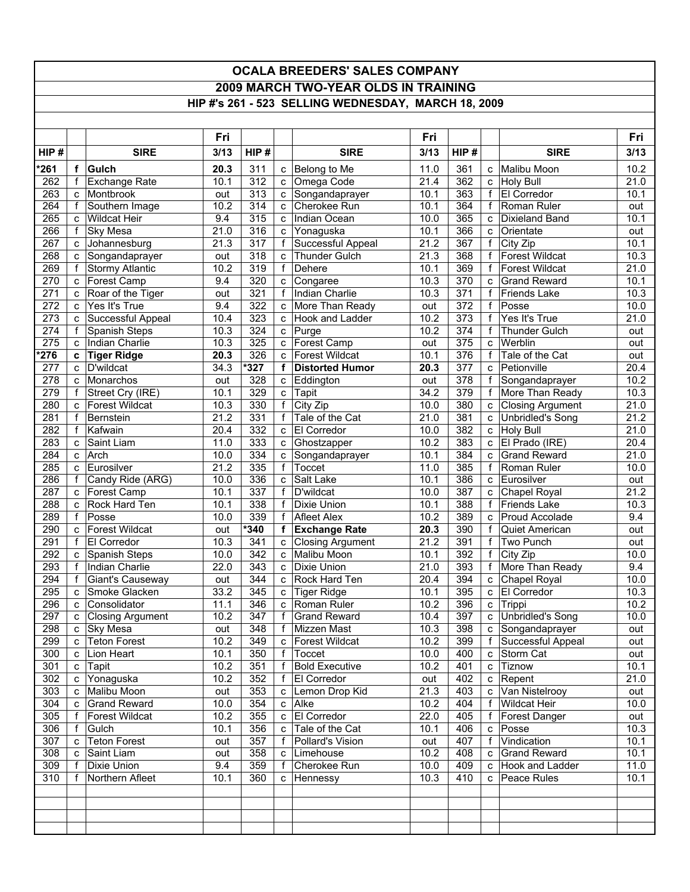## **OCALA BREEDERS' SALES COMPANY 2009 MARCH TWO-YEAR OLDS IN TRAINING**

## **HIP #'s 261 - 523 SELLING WEDNESDAY, MARCH 18, 2009**

|                  |              |                                   | Fri         |            |              |                                   | Fri          |            |                              |                              | Fri          |
|------------------|--------------|-----------------------------------|-------------|------------|--------------|-----------------------------------|--------------|------------|------------------------------|------------------------------|--------------|
| HIP#             |              | <b>SIRE</b>                       | 3/13        | HIP#       |              | <b>SIRE</b>                       | 3/13         | HIP#       |                              | <b>SIRE</b>                  | 3/13         |
| $*261$           | $\mathbf f$  | <b>Gulch</b>                      | 20.3        | 311        |              | c Belong to Me                    | 11.0         | 361        | C                            | Malibu Moon                  | 10.2         |
| 262              | f            | <b>Exchange Rate</b>              | 10.1        | 312        |              | c Omega Code                      | 21.4         | 362        |                              | c Holy Bull                  | 21.0         |
| 263              | C            | Montbrook                         | out         | 313        |              | c Songandaprayer                  | 10.1         | 363        | f                            | El Corredor                  | 10.1         |
| 264              |              | Southern Image                    | 10.2        | 314        | C            | Cherokee Run                      | 10.1         | 364        | f                            | Roman Ruler                  | out          |
| 265              | c            | <b>Wildcat Heir</b>               | 9.4         | 315        |              | c  Indian Ocean                   | 10.0         | 365        | C                            | <b>Dixieland Band</b>        | 10.1         |
| 266              | $\mathsf{f}$ | <b>Sky Mesa</b>                   | 21.0        | 316        | C.           | Yonaguska                         | 10.1         | 366        | C                            | Orientate                    | out          |
| 267              | C            | Johannesburg                      | 21.3        | 317        | f            | Successful Appeal                 | 21.2         | 367        | $\mathsf{f}$                 | City Zip                     | 10.1         |
| 268              | $\mathbf{C}$ | Songandaprayer                    | out         | 318        | c            | Thunder Gulch                     | 21.3         | 368        | f                            | <b>Forest Wildcat</b>        | 10.3         |
| 269              | $\mathsf{f}$ | <b>Stormy Atlantic</b>            | 10.2        | 319        | f            | Dehere                            | 10.1         | 369        | f                            | <b>Forest Wildcat</b>        | 21.0         |
| 270              | C            | Forest Camp                       | 9.4         | 320        | C            | Congaree                          | 10.3         | 370        | C                            | <b>Grand Reward</b>          | 10.1         |
| 271              | c            | Roar of the Tiger                 | out         | 321        | f            | Indian Charlie                    | 10.3         | 371        | f                            | Friends Lake                 | 10.3         |
| 272              | C            | Yes It's True                     | 9.4         | 322        | c            | More Than Ready                   | out          | 372        | $\mathsf{f}$                 | Posse                        | 10.0         |
| $\overline{273}$ | C            | Successful Appeal                 | 10.4        | 323        | C            | Hook and Ladder                   | 10.2         | 373        | $\mathsf{f}$                 | Yes It's True                | 21.0         |
| 274              | f            | Spanish Steps                     | 10.3        | 324        |              | c Purge                           | 10.2         | 374        | f                            | Thunder Gulch                | out          |
| 275              | C.           | Indian Charlie                    | 10.3        | 325        |              | c Forest Camp                     | out          | 375        | $\mathbf{C}$                 | Werblin                      | out          |
| $*276$           | C            | <b>Tiger Ridge</b>                | 20.3        | 326        | C            | <b>Forest Wildcat</b>             | 10.1         | 376        | f                            | Tale of the Cat              | out          |
| 277              | C            | D'wildcat                         | 34.3        | *327       | f            | <b>Distorted Humor</b>            | 20.3         | 377        | C                            | Petionville                  | 20.4         |
| 278              | C            | Monarchos                         | out         | 328        |              | c Eddington                       | out          | 378        | $\mathsf{f}$                 | Songandaprayer               | 10.2         |
| 279              | f            | Street Cry (IRE)                  | 10.1        | 329        | C            | Tapit                             | 34.2         | 379        |                              | f More Than Ready            | 10.3         |
| 280              | C            | <b>Forest Wildcat</b>             | 10.3        | 330        | f            | City Zip                          | 10.0         | 380        | C                            | <b>Closing Argument</b>      | 21.0         |
| 281              | $\mathsf{f}$ | <b>Bernstein</b>                  | 21.2        | 331        | f            | Tale of the Cat                   | 21.0         | 381        | $\mathbf{C}$                 | Unbridled's Song             | 21.2         |
| 282              | f            | Kafwain                           | 20.4        | 332        | C            | El Corredor                       | 10.0         | 382        |                              | c Holy Bull                  | 21.0         |
| 283              | C            | Saint Liam                        | 11.0        | 333        | C            | Ghostzapper                       | 10.2         | 383        | C                            | El Prado (IRE)               | 20.4         |
| 284              | C            | Arch                              | 10.0        | 334        | C            | Songandaprayer                    | 10.1         | 384        | C                            | <b>Grand Reward</b>          | 21.0         |
| 285              | C            | Eurosilver                        | 21.2        | 335        | f            | Toccet                            | 11.0         | 385        | $\mathsf{f}$                 | Roman Ruler                  | 10.0         |
| 286              | f            | Candy Ride (ARG)                  | 10.0        | 336        | C            | Salt Lake                         | 10.1         | 386        | C                            | Eurosilver                   | out          |
| 287              | $\mathbf{C}$ | Forest Camp                       | 10.1        | 337        | f            | D'wildcat                         | 10.0         | 387        | $\mathbf{C}$                 | Chapel Royal                 | 21.2         |
| 288              | C            | Rock Hard Ten                     | 10.1        | 338        | f            | Dixie Union                       | 10.1         | 388        | f                            | <b>Friends Lake</b>          | 10.3         |
| 289              | f            | Posse                             | 10.0        | 339        | f            | <b>Afleet Alex</b>                | 10.2         | 389        | C                            | Proud Accolade               | 9.4          |
| 290              | c            | <b>Forest Wildcat</b>             | out         | 340        | f            | <b>Exchange Rate</b>              | 20.3         | 390        | f                            | Quiet American               | out          |
| 291              | $\mathsf{f}$ | El Corredor                       | 10.3        | 341<br>342 | C            | <b>Closing Argument</b>           | 21.2         | 391<br>392 | $\mathbf{f}$<br>$\mathsf{f}$ | Two Punch                    | out<br>10.0  |
| 292<br>293       | C<br>f       | Spanish Steps                     | 10.0        | 343        |              | c Malibu Moon                     | 10.1<br>21.0 | 393        |                              | City Zip                     | 9.4          |
| 294              | $\mathsf{f}$ | Indian Charlie                    | 22.0        | 344        | C            | Dixie Union<br>c   Rock Hard Ten  | 20.4         | 394        | f                            | More Than Ready              | 10.0         |
| 295              |              | Giant's Causeway<br>Smoke Glacken | out<br>33.2 |            |              |                                   |              | 395        | c                            | Chapel Royal                 |              |
| 296              | C<br>C       | Consolidator                      | 11.1        | 345<br>346 | C<br>C.      | <b>Tiger Ridge</b><br>Roman Ruler | 10.1<br>10.2 | 396        | C<br>$\mathbf{C}$            | <b>El Corredor</b><br>Trippi | 10.3<br>10.2 |
| 297              | $\mathbf{C}$ | <b>Closing Argument</b>           | 10.2        | 347        | f            | <b>Grand Reward</b>               | 10.4         | 397        | $\mathbf{c}$                 | <b>Unbridled's Song</b>      | 10.0         |
| 298              |              | c Sky Mesa                        | out         | 348        |              | f Mizzen Mast                     | 10.3         | 398        |                              | c Songandaprayer             | out          |
| 299              | $\mathbf{c}$ | <b>Teton Forest</b>               | 10.2        | 349        |              | c Forest Wildcat                  | 10.2         | 399        |                              | f Successful Appeal          | out          |
| 300              | $\mathbf{c}$ | Lion Heart                        | 10.1        | 350        | f            | Toccet                            | 10.0         | 400        |                              | c Storm Cat                  | out          |
| 301              | $\mathbf{C}$ | Tapit                             | 10.2        | 351        | f            | <b>Bold Executive</b>             | 10.2         | 401        |                              | c Tiznow                     | 10.1         |
| 302              | $\mathbf{C}$ | Yonaguska                         | 10.2        | 352        | f            | El Corredor                       | out          | 402        |                              | c Repent                     | 21.0         |
| 303              |              | c Malibu Moon                     | out         | 353        |              | c Lemon Drop Kid                  | 21.3         | 403        |                              | c Van Nistelrooy             | out          |
| 304              | C.           | <b>Grand Reward</b>               | 10.0        | 354        |              | c Alke                            | 10.2         | 404        |                              | f   Wildcat Heir             | 10.0         |
| 305              |              | f Forest Wildcat                  | 10.2        | 355        |              | c El Corredor                     | 22.0         | 405        |                              | f   Forest Danger            | out          |
| 306              | f            | Gulch                             | 10.1        | 356        | $\mathbf{C}$ | Tale of the Cat                   | 10.1         | 406        |                              | c Posse                      | 10.3         |
| 307              | C.           | <b>Teton Forest</b>               | out         | 357        | f            | Pollard's Vision                  | out          | 407        | f                            | Vindication                  | 10.1         |
| 308              | C            | Saint Liam                        | out         | 358        | C            | Limehouse                         | 10.2         | 408        | $\mathbf{c}$                 | <b>Grand Reward</b>          | 10.1         |
| 309              | $\mathsf{f}$ | Dixie Union                       | 9.4         | 359        | f            | Cherokee Run                      | 10.0         | 409        |                              | c Hook and Ladder            | 11.0         |
| 310              | f            | Northern Afleet                   | 10.1        | 360        |              | c Hennessy                        | 10.3         | 410        |                              | c   Peace Rules              | 10.1         |
|                  |              |                                   |             |            |              |                                   |              |            |                              |                              |              |
|                  |              |                                   |             |            |              |                                   |              |            |                              |                              |              |
|                  |              |                                   |             |            |              |                                   |              |            |                              |                              |              |
|                  |              |                                   |             |            |              |                                   |              |            |                              |                              |              |
|                  |              |                                   |             |            |              |                                   |              |            |                              |                              |              |